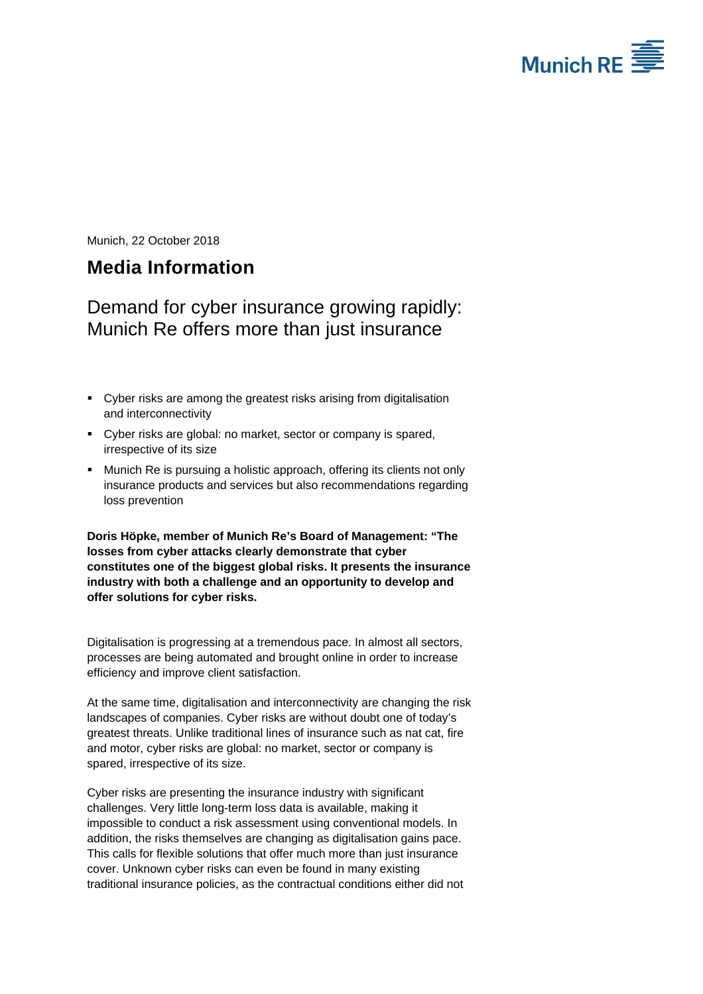

Munich, 22 October 2018

# **Media Information**

## Demand for cyber insurance growing rapidly: Munich Re offers more than just insurance

- Cyber risks are among the greatest risks arising from digitalisation and interconnectivity
- Cyber risks are global: no market, sector or company is spared, irrespective of its size
- **Munich Re is pursuing a holistic approach, offering its clients not only** insurance products and services but also recommendations regarding loss prevention

**Doris Höpke, member of Munich Re's Board of Management: "The losses from cyber attacks clearly demonstrate that cyber constitutes one of the biggest global risks. It presents the insurance industry with both a challenge and an opportunity to develop and offer solutions for cyber risks.** 

Digitalisation is progressing at a tremendous pace. In almost all sectors, processes are being automated and brought online in order to increase efficiency and improve client satisfaction.

At the same time, digitalisation and interconnectivity are changing the risk landscapes of companies. Cyber risks are without doubt one of today's greatest threats. Unlike traditional lines of insurance such as nat cat, fire and motor, cyber risks are global: no market, sector or company is spared, irrespective of its size.

Cyber risks are presenting the insurance industry with significant challenges. Very little long-term loss data is available, making it impossible to conduct a risk assessment using conventional models. In addition, the risks themselves are changing as digitalisation gains pace. This calls for flexible solutions that offer much more than just insurance cover. Unknown cyber risks can even be found in many existing traditional insurance policies, as the contractual conditions either did not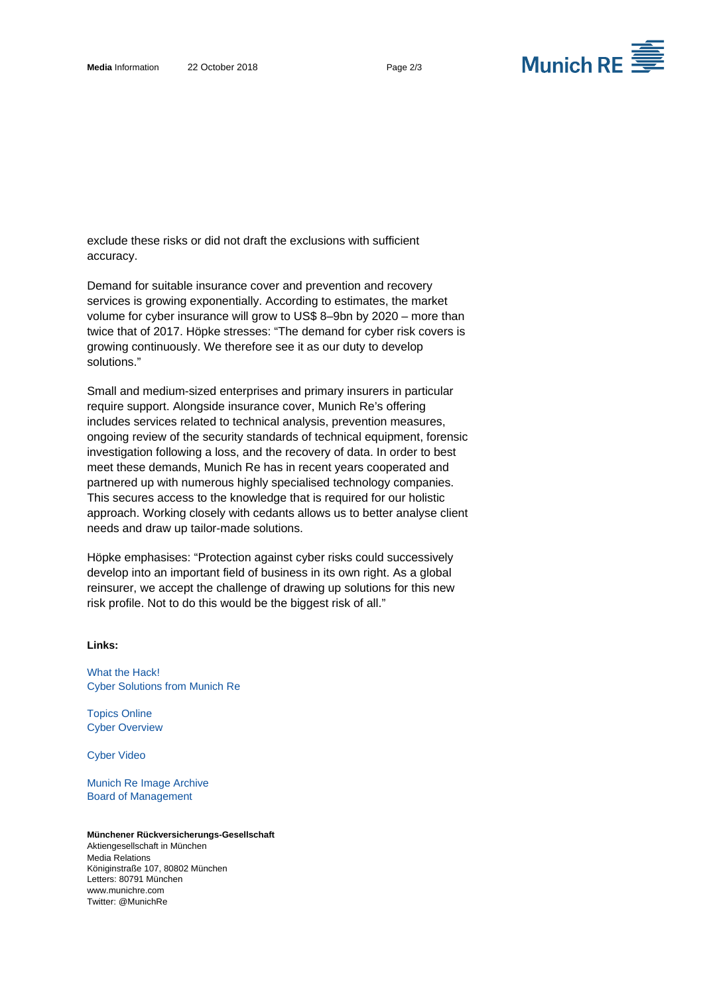

exclude these risks or did not draft the exclusions with sufficient accuracy.

Demand for suitable insurance cover and prevention and recovery services is growing exponentially. According to estimates, the market volume for cyber insurance will grow to US\$ 8–9bn by 2020 – more than twice that of 2017. Höpke stresses: "The demand for cyber risk covers is growing continuously. We therefore see it as our duty to develop solutions."

Small and medium-sized enterprises and primary insurers in particular require support. Alongside insurance cover, Munich Re's offering includes services related to technical analysis, prevention measures, ongoing review of the security standards of technical equipment, forensic investigation following a loss, and the recovery of data. In order to best meet these demands, Munich Re has in recent years cooperated and partnered up with numerous highly specialised technology companies. This secures access to the knowledge that is required for our holistic approach. Working closely with cedants allows us to better analyse client needs and draw up tailor-made solutions.

Höpke emphasises: "Protection against cyber risks could successively develop into an important field of business in its own right. As a global reinsurer, we accept the challenge of drawing up solutions for this new risk profile. Not to do this would be the biggest risk of all."

### **Links:**

What the Hack! [Cyber Solutions from Munich Re](https://www.munichre.com/whatthehack)

Topics Online [Cyber Overview](https://www.munichre.com/topics-online/en/digitalisation/cyber.html)

[Cyber Video](http://e.video-cdn.net/video?video-id=1_9ZQXJoQe7quvJrLNMtFp&player-id=2YGCu7e-dQDyCctV-M_WmW)

[Munich Re Image Archive](https://www.munichre.com/en/media-relations/image-archive/board-of-management/index.html)  Board of Management

#### **Münchener Rückversicherungs-Gesellschaft**  Aktiengesellschaft in München Media Relations Königinstraße 107, 80802 München Letters: 80791 München www.munichre.com Twitter: @MunichRe